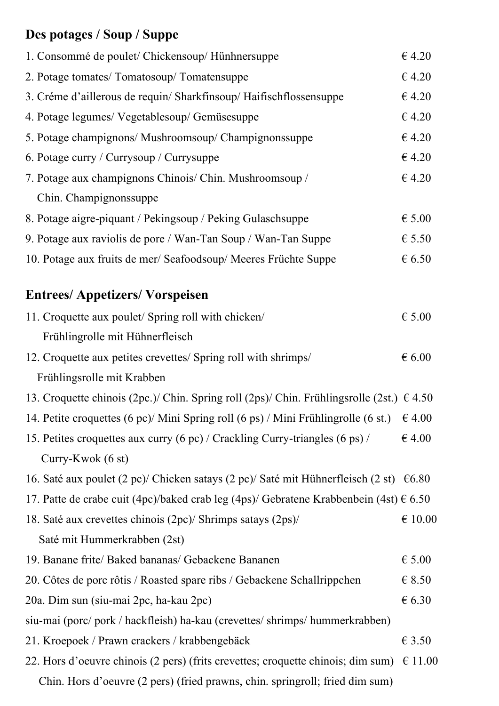# **Des potages / Soup / Suppe**

| 1. Consommé de poulet/ Chickensoup/ Hünhnersuppe                                                   | €4.20            |
|----------------------------------------------------------------------------------------------------|------------------|
| 2. Potage tomates/ Tomatosoup/ Tomatensuppe                                                        | €4.20            |
| 3. Créme d'aillerous de requin/ Sharkfinsoup/ Haifischflossensuppe                                 | €4.20            |
| 4. Potage legumes/ Vegetablesoup/ Gemüsesuppe                                                      | €4.20            |
| 5. Potage champignons/ Mushroomsoup/ Champignonssuppe                                              | €4.20            |
| 6. Potage curry / Currysoup / Currysuppe                                                           | €4.20            |
| 7. Potage aux champignons Chinois/ Chin. Mushroomsoup /                                            | €4.20            |
| Chin. Champignonssuppe                                                                             |                  |
| 8. Potage aigre-piquant / Pekingsoup / Peking Gulaschsuppe                                         | $\epsilon$ 5.00  |
| 9. Potage aux raviolis de pore / Wan-Tan Soup / Wan-Tan Suppe                                      | $\epsilon$ 5.50  |
| 10. Potage aux fruits de mer/ Seafoodsoup/ Meeres Früchte Suppe                                    | $\epsilon$ 6.50  |
| <b>Entrees/Appetizers/Vorspeisen</b>                                                               |                  |
| 11. Croquette aux poulet/ Spring roll with chicken/                                                | $\epsilon$ 5.00  |
| Frühlingrolle mit Hühnerfleisch                                                                    |                  |
| 12. Croquette aux petites crevettes/ Spring roll with shrimps/                                     | $\epsilon$ 6.00  |
| Frühlingsrolle mit Krabben                                                                         |                  |
| 13. Croquette chinois (2pc.)/ Chin. Spring roll (2ps)/ Chin. Frühlingsrolle (2st.) $\epsilon$ 4.50 |                  |
| 14. Petite croquettes (6 pc)/ Mini Spring roll (6 ps) / Mini Frühlingrolle (6 st.) $\epsilon$ 4.00 |                  |
| 15. Petites croquettes aux curry (6 pc) / Crackling Curry-triangles (6 ps) /                       | $\epsilon$ 4.00  |
| Curry-Kwok (6 st)                                                                                  |                  |
| 16. Saté aux poulet (2 pc)/ Chicken satays (2 pc)/ Saté mit Hühnerfleisch (2 st) $\epsilon$ 6.80   |                  |
| 17. Patte de crabe cuit (4pc)/baked crab leg (4ps)/ Gebratene Krabbenbein (4st) $\epsilon$ 6.50    |                  |
| 18. Saté aux crevettes chinois (2pc)/ Shrimps satays (2ps)/                                        | $\epsilon$ 10.00 |
| Saté mit Hummerkrabben (2st)                                                                       |                  |
| 19. Banane frite/ Baked bananas/ Gebackene Bananen                                                 | $\epsilon$ 5.00  |
| 20. Côtes de porc rôtis / Roasted spare ribs / Gebackene Schallrippchen                            | $\epsilon$ 8.50  |
| 20a. Dim sun (siu-mai 2pc, ha-kau 2pc)                                                             | $\epsilon$ 6.30  |
| siu-mai (porc/pork/hackfleish) ha-kau (crevettes/shrimps/hummerkrabben)                            |                  |
| 21. Kroepoek / Prawn crackers / krabbengebäck                                                      | $\epsilon$ 3.50  |
| 22. Hors d'oeuvre chinois (2 pers) (frits crevettes; croquette chinois; dim sum) $\epsilon$ 11.00  |                  |
| Chin. Hors d'oeuvre (2 pers) (fried prawns, chin. springroll; fried dim sum)                       |                  |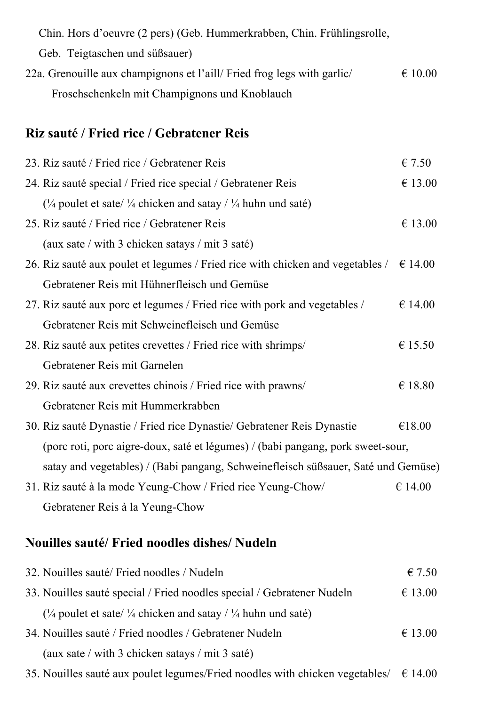Chin. Hors d'oeuvre (2 pers) (Geb. Hummerkrabben, Chin. Frühlingsrolle, Geb. Teigtaschen und süßsauer) 22a. Grenouille aux champignons et l'aill/ Fried frog legs with garlic/  $\epsilon$  10.00 Froschschenkeln mit Champignons und Knoblauch

#### **Riz sauté / Fried rice / Gebratener Reis**

| 23. Riz sauté / Fried rice / Gebratener Reis                                                    | $\epsilon$ 7.50  |
|-------------------------------------------------------------------------------------------------|------------------|
| 24. Riz sauté special / Fried rice special / Gebratener Reis                                    | € 13.00          |
| ( $\frac{1}{4}$ poulet et sate/ $\frac{1}{4}$ chicken and satay / $\frac{1}{4}$ huhn und saté)  |                  |
| 25. Riz sauté / Fried rice / Gebratener Reis                                                    | € 13.00          |
| (aux sate / with 3 chicken satays / mit 3 saté)                                                 |                  |
| 26. Riz sauté aux poulet et legumes / Fried rice with chicken and vegetables / $\epsilon$ 14.00 |                  |
| Gebratener Reis mit Hühnerfleisch und Gemüse                                                    |                  |
| 27. Riz sauté aux porc et legumes / Fried rice with pork and vegetables /                       | € 14.00          |
| Gebratener Reis mit Schweinefleisch und Gemüse                                                  |                  |
| 28. Riz sauté aux petites crevettes / Fried rice with shrimps/                                  | € 15.50          |
| Gebratener Reis mit Garnelen                                                                    |                  |
| 29. Riz sauté aux crevettes chinois / Fried rice with prawns/                                   | $\epsilon$ 18.80 |
| Gebratener Reis mit Hummerkrabben                                                               |                  |
| 30. Riz sauté Dynastie / Fried rice Dynastie / Gebratener Reis Dynastie                         | €18.00           |
| (porc roti, porc aigre-doux, saté et légumes) / (babi pangang, pork sweet-sour,                 |                  |
| satay and vegetables) / (Babi pangang, Schweinefleisch süßsauer, Saté und Gemüse)               |                  |
| 31. Riz sauté à la mode Yeung-Chow / Fried rice Yeung-Chow/                                     | € 14.00          |
| Gebratener Reis à la Yeung-Chow                                                                 |                  |

#### **Nouilles sauté/ Fried noodles dishes/ Nudeln**

| 32. Nouilles sauté/ Fried noodles / Nudeln                                                    | $\epsilon$ 7.50 |
|-----------------------------------------------------------------------------------------------|-----------------|
| 33. Nouilles sauté special / Fried noodles special / Gebratener Nudeln                        | € 13.00         |
| $\frac{1}{4}$ poulet et sate/ $\frac{1}{4}$ chicken and satay / $\frac{1}{4}$ huhn und saté)  |                 |
| 34. Nouilles sauté / Fried noodles / Gebratener Nudeln                                        | € 13.00         |
| (aux sate / with 3 chicken satays / mit 3 saté)                                               |                 |
| 35. Nouilles sauté aux poulet legumes/Fried noodles with chicken vegetables/ $\epsilon$ 14.00 |                 |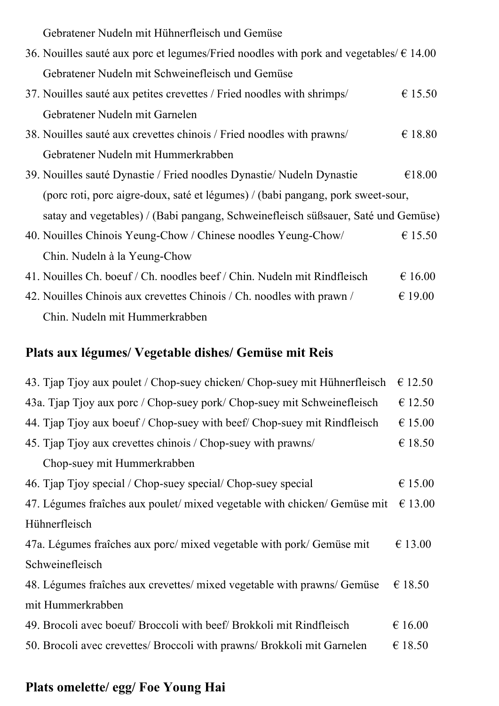Gebratener Nudeln mit Hühnerfleisch und Gemüse

| 36. Nouilles sauté aux porc et legumes/Fried noodles with pork and vegetables/ $\epsilon$ 14.00 |                  |
|-------------------------------------------------------------------------------------------------|------------------|
| Gebratener Nudeln mit Schweinefleisch und Gemüse                                                |                  |
| 37. Nouilles sauté aux petites crevettes / Fried noodles with shrimps/                          | € 15.50          |
| Gebratener Nudeln mit Garnelen                                                                  |                  |
| 38. Nouilles sauté aux crevettes chinois / Fried noodles with prawns/                           | $\epsilon$ 18.80 |
| Gebratener Nudeln mit Hummerkrabben                                                             |                  |
| 39. Nouilles sauté Dynastie / Fried noodles Dynastie / Nudeln Dynastie                          | €18.00           |
| (porc roti, porc aigre-doux, saté et légumes) / (babi pangang, pork sweet-sour,                 |                  |
| satay and vegetables) / (Babi pangang, Schweinefleisch süßsauer, Saté und Gemüse)               |                  |
| 40. Nouilles Chinois Yeung-Chow / Chinese noodles Yeung-Chow/                                   | € 15.50          |
| Chin. Nudeln à la Yeung-Chow                                                                    |                  |
| 41. Nouilles Ch. boeuf / Ch. noodles beef / Chin. Nudeln mit Rindfleisch                        | €16.00           |
| 42. Nouilles Chinois aux crevettes Chinois / Ch. noodles with prawn /                           | $\epsilon$ 19.00 |
| Chin. Nudeln mit Hummerkrabben                                                                  |                  |

#### **Plats aux légumes/ Vegetable dishes/ Gemüse mit Reis**

| 43. Tjap Tjoy aux poulet / Chop-suey chicken/ Chop-suey mit Hühnerfleisch                 | € 12.50          |
|-------------------------------------------------------------------------------------------|------------------|
| 43a. Tjap Tjoy aux porc / Chop-suey pork/ Chop-suey mit Schweinefleisch                   | € 12.50          |
| 44. Tjap Tjoy aux boeuf / Chop-suey with beef / Chop-suey mit Rindfleisch                 | €15.00           |
| 45. Tjap Tjoy aux crevettes chinois / Chop-suey with prawns/                              | $\epsilon$ 18.50 |
| Chop-suey mit Hummerkrabben                                                               |                  |
| 46. Tiap Tioy special / Chop-suey special/ Chop-suey special                              | $\epsilon$ 15.00 |
| 47. Légumes fraîches aux poulet/mixed vegetable with chicken/ Gemüse mit $\epsilon$ 13.00 |                  |
| Hühnerfleisch                                                                             |                  |
| 47a. Légumes fraîches aux porc/mixed vegetable with pork/Gemüse mit                       | € 13.00          |
| Schweinefleisch                                                                           |                  |
| 48. Légumes fraîches aux crevettes/ mixed vegetable with prawns/ Gemüse                   | € 18.50          |
| mit Hummerkrabben                                                                         |                  |
| 49. Brocoli avec boeuf Broccoli with beef Brokkoli mit Rindfleisch                        | € 16.00          |
| 50. Brocoli avec crevettes/ Broccoli with prawns/ Brokkoli mit Garnelen                   | € 18.50          |

### **Plats omelette/ egg/ Foe Young Hai**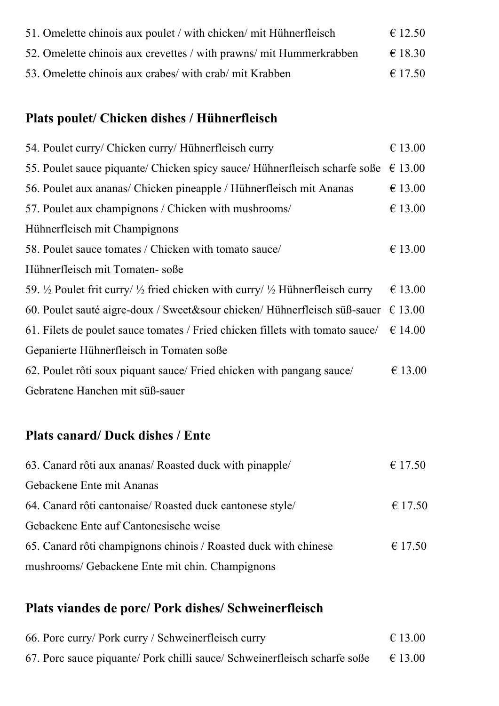| 51. Omelette chinois aux poulet / with chicken/ mit Hühnerfleisch   | $\epsilon$ 12.50 |
|---------------------------------------------------------------------|------------------|
| 52. Omelette chinois aux crevettes / with prawns/ mit Hummerkrabben | $\in$ 18.30      |
| 53. Omelette chinois aux crabes/ with crab/ mit Krabben             | $\epsilon$ 17.50 |

## **Plats poulet/ Chicken dishes / Hühnerfleisch**

| € 13.00                                                                                       |
|-----------------------------------------------------------------------------------------------|
| 55. Poulet sauce piquante/ Chicken spicy sauce/ Hühnerfleisch scharfe soße $\epsilon$ 13.00   |
| € 13.00                                                                                       |
| € 13.00                                                                                       |
|                                                                                               |
| € 13.00                                                                                       |
|                                                                                               |
| € 13.00                                                                                       |
| 60. Poulet sauté aigre-doux / Sweet&sour chicken/ Hühnerfleisch süß-sauer $\epsilon$ 13.00    |
| 61. Filets de poulet sauce tomates / Fried chicken fillets with tomato sauce $\ell \in 14.00$ |
|                                                                                               |
| € 13.00                                                                                       |
|                                                                                               |
|                                                                                               |

### **Plats canard/ Duck dishes / Ente**

| 63. Canard rôti aux ananas/ Roasted duck with pinapple/         | $\epsilon$ 17.50 |
|-----------------------------------------------------------------|------------------|
| Gebackene Ente mit Ananas                                       |                  |
| 64. Canard rôti cantonaise/ Roasted duck cantonese style/       | € 17.50          |
| Gebackene Ente auf Cantonesische weise                          |                  |
| 65. Canard rôti champignons chinois / Roasted duck with chinese | $\epsilon$ 17.50 |
| mushrooms/ Gebackene Ente mit chin. Champignons                 |                  |

#### **Plats viandes de porc/ Pork dishes/ Schweinerfleisch**

| 66. Porc curry/ Pork curry / Schweinerfleisch curry                                        | $\epsilon$ 13.00 |
|--------------------------------------------------------------------------------------------|------------------|
| 67. Porc sauce piquante/ Pork chilli sauce/ Schweinerfleisch scharfe soße $\epsilon$ 13.00 |                  |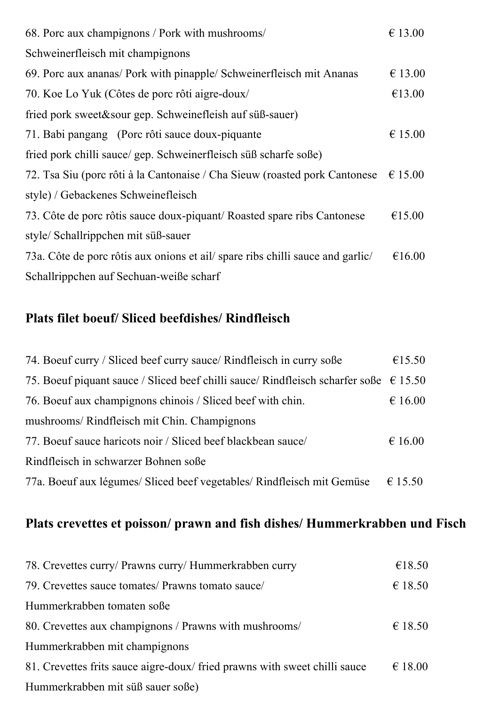| 68. Porc aux champignons / Pork with mushrooms/                                | € 13.00          |
|--------------------------------------------------------------------------------|------------------|
| Schweinerfleisch mit champignons                                               |                  |
| 69. Porc aux ananas/ Pork with pinapple/ Schweinerfleisch mit Ananas           | € 13.00          |
| 70. Koe Lo Yuk (Côtes de porc rôti aigre-doux/                                 | €13.00           |
| fried pork sweet&sour gep. Schweinefleish auf süß-sauer)                       |                  |
| 71. Babi pangang (Porc rôti sauce doux-piquante                                | € 15.00          |
| fried pork chilli sauce/ gep. Schweinerfleisch süß scharfe soße)               |                  |
| 72. Tsa Siu (porc rôti à la Cantonaise / Cha Sieuw (roasted pork Cantonese     | $\epsilon$ 15.00 |
| style) / Gebackenes Schweinefleisch                                            |                  |
| 73. Côte de porc rôtis sauce doux-piquant/ Roasted spare ribs Cantonese        | €15.00           |
| style/ Schallrippchen mit süß-sauer                                            |                  |
| 73a. Côte de porc rôtis aux onions et ail/ spare ribs chilli sauce and garlic/ | €16.00           |
| Schallrippchen auf Sechuan-weiße scharf                                        |                  |

#### **Plats filet boeuf/ Sliced beefdishes/ Rindfleisch**

| 74. Boeuf curry / Sliced beef curry sauce / Rindfleisch in curry soße                          | €15.50           |
|------------------------------------------------------------------------------------------------|------------------|
| 75. Boeuf piquant sauce / Sliced beef chilli sauce/ Rindfleisch scharfer soße $\epsilon$ 15.50 |                  |
| 76. Boeuf aux champignons chinois / Sliced beef with chin.                                     | € 16.00          |
| mushrooms/ Rindfleisch mit Chin. Champignons                                                   |                  |
| 77. Boeuf sauce haricots noir / Sliced beef blackbean sauce                                    | $\epsilon$ 16.00 |
| Rindfleisch in schwarzer Bohnen soße                                                           |                  |
| 77a. Boeuf aux légumes/ Sliced beef vegetables/ Rindfleisch mit Gemüse                         | € 15.50          |

### **Plats crevettes et poisson/ prawn and fish dishes/ Hummerkrabben und Fisch**

| 78. Crevettes curry/ Prawns curry/ Hummerkrabben curry                    | €18.50           |
|---------------------------------------------------------------------------|------------------|
| 79. Crevettes sauce tomates/ Prawns tomato sauce/                         | € 18.50          |
| Hummerkrabben tomaten soße                                                |                  |
| 80. Crevettes aux champignons / Prawns with mushrooms/                    | € 18.50          |
| Hummerkrabben mit champignons                                             |                  |
| 81. Crevettes frits sauce aigre-doux/fried prawns with sweet chilli sauce | $\epsilon$ 18.00 |
| Hummerkrabben mit süß sauer soße)                                         |                  |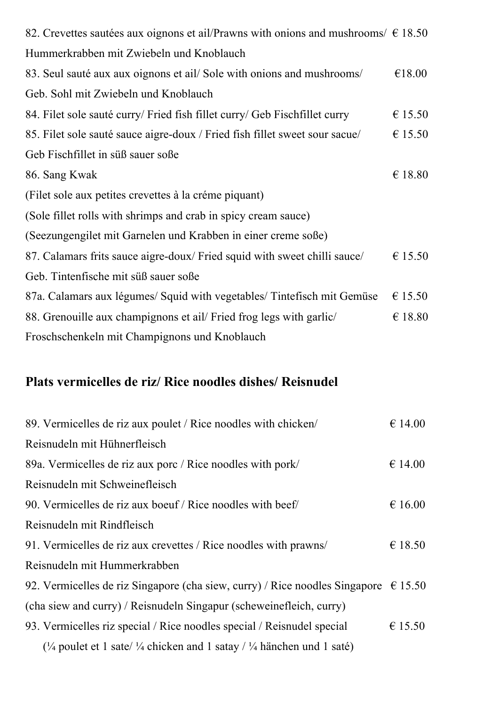| 82. Crevettes sautées aux oignons et ail/Prawns with onions and mushrooms/ $\epsilon$ 18.50 |         |
|---------------------------------------------------------------------------------------------|---------|
| Hummerkrabben mit Zwiebeln und Knoblauch                                                    |         |
| 83. Seul sauté aux aux oignons et ail/Sole with onions and mushrooms/                       | €18.00  |
| Geb. Sohl mit Zwiebeln und Knoblauch                                                        |         |
| 84. Filet sole sauté curry/ Fried fish fillet curry/ Geb Fischfillet curry                  | € 15.50 |
| 85. Filet sole sauté sauce aigre-doux / Fried fish fillet sweet sour sacue/                 | € 15.50 |
| Geb Fischfillet in süß sauer soße                                                           |         |
| 86. Sang Kwak                                                                               | €18.80  |
| (Filet sole aux petites crevettes à la créme piquant)                                       |         |
| (Sole fillet rolls with shrimps and crab in spicy cream sauce)                              |         |
| (Seezungengilet mit Garnelen und Krabben in einer creme soße)                               |         |
| 87. Calamars frits sauce aigre-doux/ Fried squid with sweet chilli sauce/                   | € 15.50 |
| Geb. Tintenfische mit süß sauer soße                                                        |         |
| 87a. Calamars aux légumes/ Squid with vegetables/ Tintefisch mit Gemüse                     | € 15.50 |
| 88. Grenouille aux champignons et ail/ Fried frog legs with garlic/                         | €18.80  |
| Froschschenkeln mit Champignons und Knoblauch                                               |         |

#### **Plats vermicelles de riz/ Rice noodles dishes/ Reisnudel**

| 89. Vermicelles de riz aux poulet / Rice noodles with chicken/                                          | € 14.00 |
|---------------------------------------------------------------------------------------------------------|---------|
| Reisnudeln mit Hühnerfleisch                                                                            |         |
| 89a. Vermicelles de riz aux porc / Rice noodles with pork/                                              | € 14.00 |
| Reisnudeln mit Schweinefleisch                                                                          |         |
| 90. Vermicelles de riz aux boeuf / Rice noodles with beef                                               | € 16.00 |
| Reisnudeln mit Rindfleisch                                                                              |         |
| 91. Vermicelles de riz aux crevettes / Rice noodles with prawns/                                        | € 18.50 |
| Reisnudeln mit Hummerkrabben                                                                            |         |
| 92. Vermicelles de riz Singapore (cha siew, curry) / Rice noodles Singapore $\epsilon$ 15.50            |         |
| (cha siew and curry) / Reisnudeln Singapur (scheweinefleich, curry)                                     |         |
| 93. Vermicelles riz special / Rice noodles special / Reisnudel special                                  | € 15.50 |
| ( $\frac{1}{4}$ poulet et 1 sate/ $\frac{1}{4}$ chicken and 1 satay / $\frac{1}{4}$ hänchen und 1 saté) |         |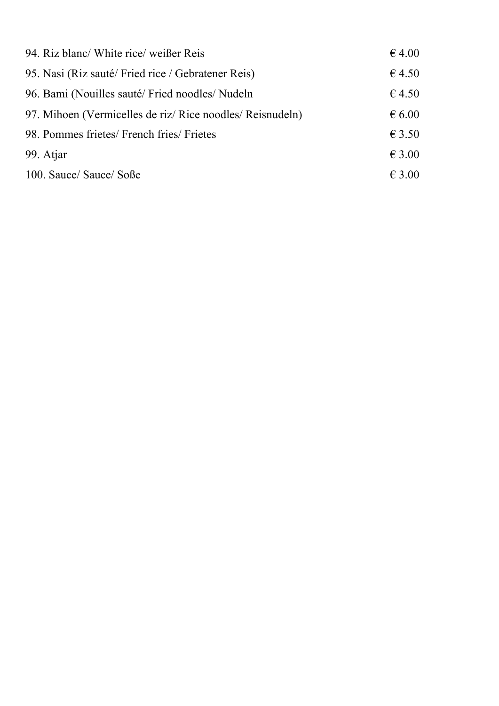| 94. Riz blanc/ White rice/ weißer Reis                  | $\epsilon$ 4.00 |
|---------------------------------------------------------|-----------------|
| 95. Nasi (Riz sauté/Fried rice / Gebratener Reis)       | 64.50           |
| 96. Bami (Nouilles sauté/Fried noodles/Nudeln)          | 64.50           |
| 97. Mihoen (Vermicelles de riz/Rice noodles/Reisnudeln) | $\epsilon$ 6.00 |
| 98. Pommes frietes/ French fries/ Frietes               | $\epsilon$ 3.50 |
| 99. Atjar                                               | $\epsilon$ 3.00 |
| 100. Sauce/ Sauce/ Soße                                 | $\epsilon$ 3.00 |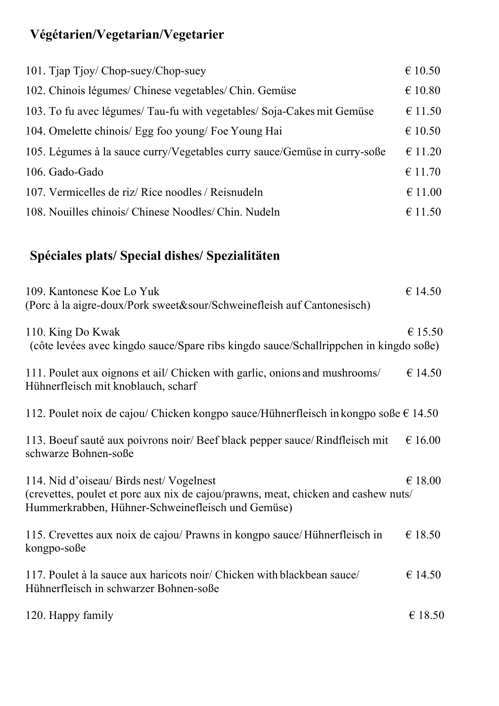# **Végétarien/Vegetarian/Vegetarier**

| 101. Tjap Tjoy/ Chop-suey/Chop-suey                                       | € 10.50          |
|---------------------------------------------------------------------------|------------------|
| 102. Chinois légumes/ Chinese vegetables/ Chin. Gemüse                    | €10.80           |
| 103. To fu avec légumes/ Tau-fu with vegetables/ Soja-Cakes mit Gemüse    | € 11.50          |
| 104. Omelette chinois/ Egg foo young/ Foe Young Hai                       | € 10.50          |
| 105. Légumes à la sauce curry/Vegetables curry sauce/Gemüse in curry-soße | $\epsilon$ 11.20 |
| 106. Gado-Gado                                                            | € 11.70          |
| 107. Vermicelles de riz/Rice noodles / Reisnudeln                         | $\epsilon$ 11.00 |
| 108. Nouilles chinois/ Chinese Noodles/ Chin. Nudeln                      | € 11.50          |

# **Spéciales plats/ Special dishes/ Spezialitäten**

| 109. Kantonese Koe Lo Yuk<br>(Porc à la aigre-doux/Pork sweet&sour/Schweinefleish auf Cantonesisch)                                                                               | € 14.50          |
|-----------------------------------------------------------------------------------------------------------------------------------------------------------------------------------|------------------|
| 110. King Do Kwak<br>(côte levées avec kingdo sauce/Spare ribs kingdo sauce/Schallrippchen in kingdo soße)                                                                        | € 15.50          |
| 111. Poulet aux oignons et ail/ Chicken with garlic, onions and mushrooms/<br>Hühnerfleisch mit knoblauch, scharf                                                                 | € 14.50          |
| 112. Poulet noix de cajou/ Chicken kongpo sauce/Hühnerfleisch in kongpo soße $\epsilon$ 14.50                                                                                     |                  |
| 113. Boeuf sauté aux poivrons noir/ Beef black pepper sauce/Rindfleisch mit<br>schwarze Bohnen-soße                                                                               | $\epsilon$ 16.00 |
| 114. Nid d'oiseau/Birds nest/Vogelnest<br>(crevettes, poulet et porc aux nix de cajou/prawns, meat, chicken and cashew nuts/<br>Hummerkrabben, Hühner-Schweinefleisch und Gemüse) | $\epsilon$ 18.00 |
| 115. Crevettes aux noix de cajou/ Prawns in kongpo sauce/ Hühnerfleisch in<br>kongpo-soße                                                                                         | €18.50           |
| 117. Poulet à la sauce aux haricots noir/ Chicken with blackbean sauce/<br>Hühnerfleisch in schwarzer Bohnen-soße                                                                 | € 14.50          |
| 120. Happy family                                                                                                                                                                 | € 18.50          |